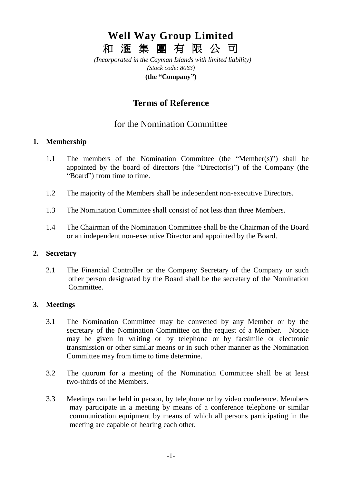# **Well Way Group Limited** 和 滙 集 團 有 限 公 司

*(Incorporated in the Cayman Islands with limited liability) (Stock code: 8063)* **(the "Company")**

## **Terms of Reference**

### for the Nomination Committee

#### **1. Membership**

- 1.1 The members of the Nomination Committee (the "Member(s)") shall be appointed by the board of directors (the "Director(s)") of the Company (the "Board") from time to time.
- 1.2 The majority of the Members shall be independent non-executive Directors.
- 1.3 The Nomination Committee shall consist of not less than three Members.
- 1.4 The Chairman of the Nomination Committee shall be the Chairman of the Board or an independent non-executive Director and appointed by the Board.

#### **2. Secretary**

2.1 The Financial Controller or the Company Secretary of the Company or such other person designated by the Board shall be the secretary of the Nomination Committee.

#### **3. Meetings**

- 3.1 The Nomination Committee may be convened by any Member or by the secretary of the Nomination Committee on the request of a Member. Notice may be given in writing or by telephone or by facsimile or electronic transmission or other similar means or in such other manner as the Nomination Committee may from time to time determine.
- 3.2 The quorum for a meeting of the Nomination Committee shall be at least two-thirds of the Members.
- 3.3 Meetings can be held in person, by telephone or by video conference. Members may participate in a meeting by means of a conference telephone or similar communication equipment by means of which all persons participating in the meeting are capable of hearing each other.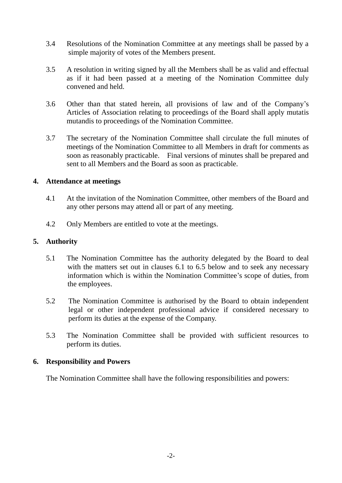- 3.4 Resolutions of the Nomination Committee at any meetings shall be passed by a simple majority of votes of the Members present.
- 3.5 A resolution in writing signed by all the Members shall be as valid and effectual as if it had been passed at a meeting of the Nomination Committee duly convened and held.
- 3.6 Other than that stated herein, all provisions of law and of the Company's Articles of Association relating to proceedings of the Board shall apply mutatis mutandis to proceedings of the Nomination Committee.
- 3.7 The secretary of the Nomination Committee shall circulate the full minutes of meetings of the Nomination Committee to all Members in draft for comments as soon as reasonably practicable. Final versions of minutes shall be prepared and sent to all Members and the Board as soon as practicable.

#### **4. Attendance at meetings**

- 4.1 At the invitation of the Nomination Committee, other members of the Board and any other persons may attend all or part of any meeting.
- 4.2 Only Members are entitled to vote at the meetings.

#### **5. Authority**

- 5.1 The Nomination Committee has the authority delegated by the Board to deal with the matters set out in clauses 6.1 to 6.5 below and to seek any necessary information which is within the Nomination Committee's scope of duties, from the employees.
- 5.2 The Nomination Committee is authorised by the Board to obtain independent legal or other independent professional advice if considered necessary to perform its duties at the expense of the Company.
- 5.3 The Nomination Committee shall be provided with sufficient resources to perform its duties.

#### **6. Responsibility and Powers**

The Nomination Committee shall have the following responsibilities and powers: